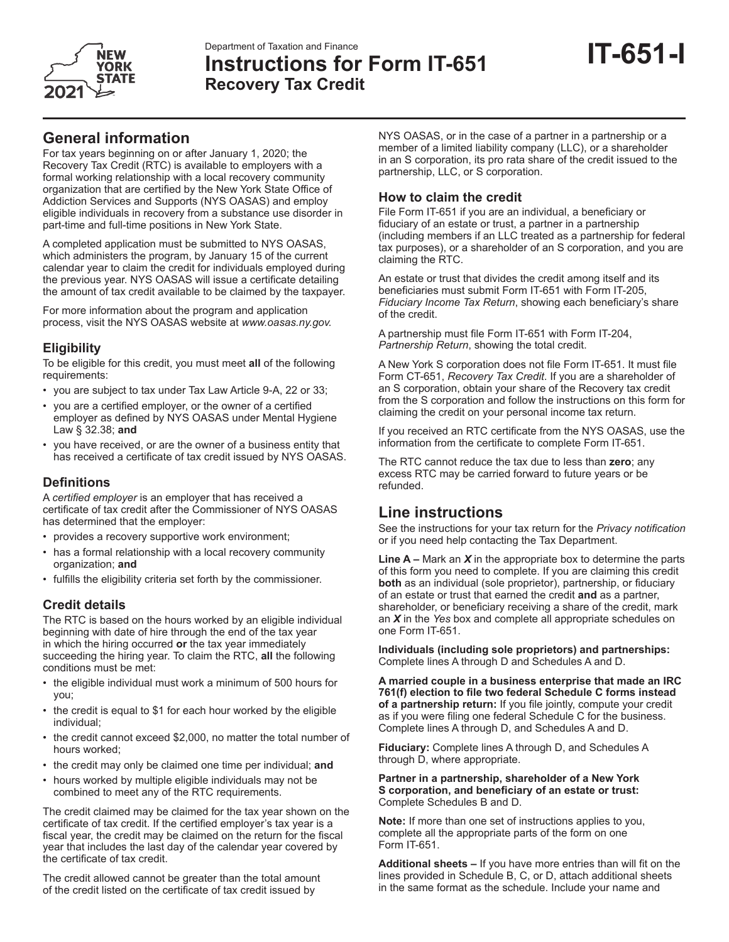

# **IT-651-I** Department of Taxation and Finance **Instructions for Form IT-651 Recovery Tax Credit**

# **General information**

For tax years beginning on or after January 1, 2020; the Recovery Tax Credit (RTC) is available to employers with a formal working relationship with a local recovery community organization that are certified by the New York State Office of Addiction Services and Supports (NYS OASAS) and employ eligible individuals in recovery from a substance use disorder in part-time and full-time positions in New York State.

A completed application must be submitted to NYS OASAS, which administers the program, by January 15 of the current calendar year to claim the credit for individuals employed during the previous year. NYS OASAS will issue a certificate detailing the amount of tax credit available to be claimed by the taxpayer.

For more information about the program and application process, visit the NYS OASAS website at *www.oasas.ny.gov.*

# **Eligibility**

To be eligible for this credit, you must meet **all** of the following requirements:

- you are subject to tax under Tax Law Article 9-A, 22 or 33;
- you are a certified employer, or the owner of a certified employer as defined by NYS OASAS under Mental Hygiene Law § 32.38; **and**
- you have received, or are the owner of a business entity that has received a certificate of tax credit issued by NYS OASAS.

### **Definitions**

A *certified employer* is an employer that has received a certificate of tax credit after the Commissioner of NYS OASAS has determined that the employer:

- provides a recovery supportive work environment;
- has a formal relationship with a local recovery community organization; **and**
- fulfills the eligibility criteria set forth by the commissioner.

# **Credit details**

The RTC is based on the hours worked by an eligible individual beginning with date of hire through the end of the tax year in which the hiring occurred **or** the tax year immediately succeeding the hiring year. To claim the RTC, **all** the following conditions must be met:

- the eligible individual must work a minimum of 500 hours for you;
- the credit is equal to \$1 for each hour worked by the eligible individual;
- the credit cannot exceed \$2,000, no matter the total number of hours worked;
- the credit may only be claimed one time per individual; **and**
- hours worked by multiple eligible individuals may not be combined to meet any of the RTC requirements.

The credit claimed may be claimed for the tax year shown on the certificate of tax credit. If the certified employer's tax year is a fiscal year, the credit may be claimed on the return for the fiscal year that includes the last day of the calendar year covered by the certificate of tax credit.

The credit allowed cannot be greater than the total amount of the credit listed on the certificate of tax credit issued by

NYS OASAS, or in the case of a partner in a partnership or a member of a limited liability company (LLC), or a shareholder in an S corporation, its pro rata share of the credit issued to the partnership, LLC, or S corporation.

### **How to claim the credit**

File Form IT-651 if you are an individual, a beneficiary or fiduciary of an estate or trust, a partner in a partnership (including members if an LLC treated as a partnership for federal tax purposes), or a shareholder of an S corporation, and you are claiming the RTC.

An estate or trust that divides the credit among itself and its beneficiaries must submit Form IT-651 with Form IT-205, *Fiduciary Income Tax Return*, showing each beneficiary's share of the credit.

A partnership must file Form IT-651 with Form IT-204, *Partnership Return*, showing the total credit.

A New York S corporation does not file Form IT-651. It must file Form CT-651, *Recovery Tax Credit*. If you are a shareholder of an S corporation, obtain your share of the Recovery tax credit from the S corporation and follow the instructions on this form for claiming the credit on your personal income tax return.

If you received an RTC certificate from the NYS OASAS, use the information from the certificate to complete Form IT-651.

The RTC cannot reduce the tax due to less than **zero**; any excess RTC may be carried forward to future years or be refunded.

# **Line instructions**

See the instructions for your tax return for the *Privacy notification* or if you need help contacting the Tax Department.

**Line A –** Mark an *X* in the appropriate box to determine the parts of this form you need to complete. If you are claiming this credit **both** as an individual (sole proprietor), partnership, or fiduciary of an estate or trust that earned the credit **and** as a partner, shareholder, or beneficiary receiving a share of the credit, mark an *X* in the *Yes* box and complete all appropriate schedules on one Form IT-651.

**Individuals (including sole proprietors) and partnerships:** Complete lines A through D and Schedules A and D.

**A married couple in a business enterprise that made an IRC 761(f) election to file two federal Schedule C forms instead of a partnership return:** If you file jointly, compute your credit as if you were filing one federal Schedule C for the business. Complete lines A through D, and Schedules A and D.

**Fiduciary:** Complete lines A through D, and Schedules A through D, where appropriate.

**Partner in a partnership, shareholder of a New York S corporation, and beneficiary of an estate or trust:** Complete Schedules B and D.

**Note:** If more than one set of instructions applies to you, complete all the appropriate parts of the form on one Form IT-651.

**Additional sheets –** If you have more entries than will fit on the lines provided in Schedule B, C, or D, attach additional sheets in the same format as the schedule. Include your name and